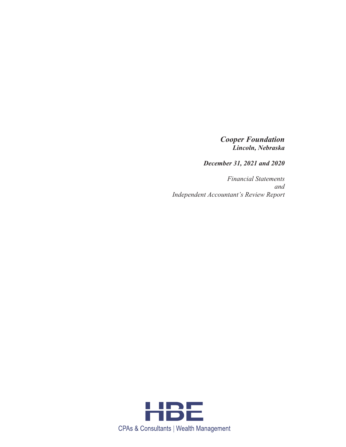# *Cooper Foundation Lincoln, Nebraska*

*December 31, 2021 and 2020* 

*Financial Statements and Independent Accountant's Review Report* 

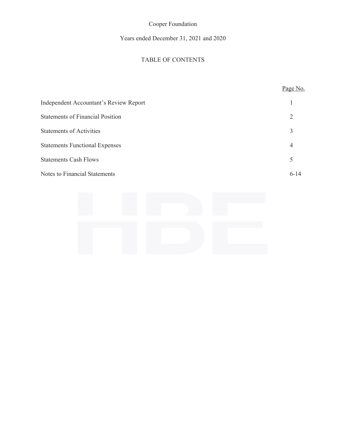# Years ended December 31, 2021 and 2020

# TABLE OF CONTENTS

# Page No. Independent Accountant's Review Report 1 Statements of Financial Position 2 Statements of Activities 3 Statements Functional Expenses 4 Statements Cash Flows 5 Notes to Financial Statements 6-14

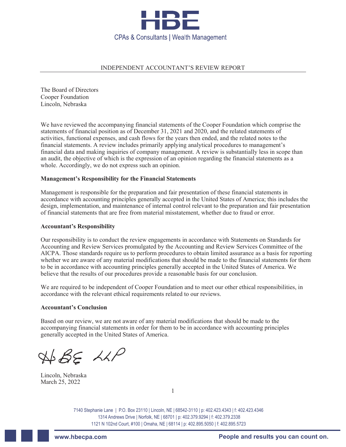

#### INDEPENDENT ACCOUNTANT'S REVIEW REPORT

The Board of Directors Cooper Foundation Lincoln, Nebraska

We have reviewed the accompanying financial statements of the Cooper Foundation which comprise the statements of financial position as of December 31, 2021 and 2020, and the related statements of activities, functional expenses, and cash flows for the years then ended, and the related notes to the financial statements. A review includes primarily applying analytical procedures to management's financial data and making inquiries of company management. A review is substantially less in scope than an audit, the objective of which is the expression of an opinion regarding the financial statements as a whole. Accordingly, we do not express such an opinion.

#### **Management's Responsibility for the Financial Statements**

Management is responsible for the preparation and fair presentation of these financial statements in accordance with accounting principles generally accepted in the United States of America; this includes the design, implementation, and maintenance of internal control relevant to the preparation and fair presentation of financial statements that are free from material misstatement, whether due to fraud or error.

#### **Accountant's Responsibility**

Our responsibility is to conduct the review engagements in accordance with Statements on Standards for Accounting and Review Services promulgated by the Accounting and Review Services Committee of the AICPA. Those standards require us to perform procedures to obtain limited assurance as a basis for reporting whether we are aware of any material modifications that should be made to the financial statements for them to be in accordance with accounting principles generally accepted in the United States of America. We believe that the results of our procedures provide a reasonable basis for our conclusion.

We are required to be independent of Cooper Foundation and to meet our other ethical responsibilities, in accordance with the relevant ethical requirements related to our reviews.

#### **Accountant's Conclusion**

Based on our review, we are not aware of any material modifications that should be made to the accompanying financial statements in order for them to be in accordance with accounting principles generally accepted in the United States of America.

 $A+BEAAP$ 

Lincoln, Nebraska March 25, 2022

1

7140 Stephanie Lane | P.O. Box 23110 | Lincoln, NE | 68542-3110 | p: 402.423.4343 | f: 402.423.4346 1314 Andrews Drive | Norfolk, NE | 68701 | p: 402.379.9294 | f: 402.379.2338 1121 N 102nd Court, #100 | Omaha, NE | 68114 | p: 402.895.5050 | f: 402.895.5723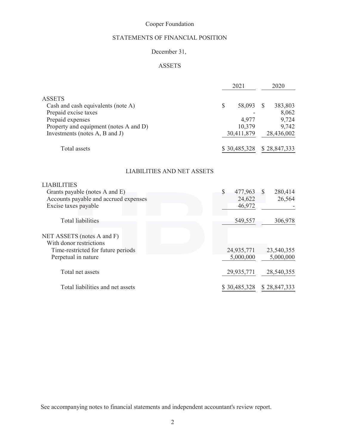# STATEMENTS OF FINANCIAL POSITION

# December 31,

# ASSETS

|                                        | 2021         | 2020         |
|----------------------------------------|--------------|--------------|
| <b>ASSETS</b>                          |              |              |
| Cash and cash equivalents (note A)     | S<br>58,093  | 383,803      |
| Prepaid excise taxes                   |              | 8,062        |
| Prepaid expenses                       | 4,977        | 9,724        |
| Property and equipment (notes A and D) | 10,379       | 9,742        |
| Investments (notes A, B and J)         | 30,411,879   | 28,436,002   |
| Total assets                           | \$30,485,328 | \$28,847,333 |

## LIABILITIES AND NET ASSETS

| <b>LIABILITIES</b>                    |               |                 |
|---------------------------------------|---------------|-----------------|
| Grants payable (notes A and E)        | \$<br>477,963 | 280,414<br>$-S$ |
| Accounts payable and accrued expenses | 24,622        | 26,564          |
| Excise taxes payable                  | 46,972        |                 |
| <b>Total liabilities</b>              | 549,557       | 306,978         |
| NET ASSETS (notes A and F)            |               |                 |
| With donor restrictions               |               |                 |
| Time-restricted for future periods    | 24,935,771    | 23,540,355      |
| Perpetual in nature                   | 5,000,000     | 5,000,000       |
| Total net assets                      | 29,935,771    | 28,540,355      |
| Total liabilities and net assets      | \$30,485,328  | \$28,847,333    |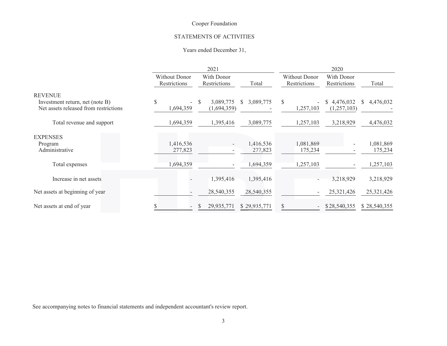#### STATEMENTS OF ACTIVITIES

#### Years ended December 31,

|                                                   | 2021                                                                        |   |                               |                      |                            |                      | 2020            |                          |                      |
|---------------------------------------------------|-----------------------------------------------------------------------------|---|-------------------------------|----------------------|----------------------------|----------------------|-----------------|--------------------------|----------------------|
|                                                   | With Donor<br><b>Without Donor</b><br>Restrictions<br>Restrictions<br>Total |   | Without Donor<br>Restrictions |                      | With Donor<br>Restrictions |                      | Total           |                          |                      |
| <b>REVENUE</b><br>Investment return, net (note B) | \$<br>$\overline{\phantom{0}}$                                              | S | 3,089,775                     | S.<br>3,089,775      | $\mathbb{S}$               |                      | 4,476,032<br>S. | S.                       | 4,476,032            |
| Net assets released from restrictions             | 1,694,359                                                                   |   | (1,694,359)                   |                      |                            | 1,257,103            | (1,257,103)     |                          |                      |
| Total revenue and support                         | 1,694,359                                                                   |   | 1,395,416                     | 3,089,775            |                            | 1,257,103            | 3,218,929       |                          | 4,476,032            |
| <b>EXPENSES</b><br>Program<br>Administrative      | 1,416,536<br>277,823                                                        |   | $\overline{\phantom{a}}$      | 1,416,536<br>277,823 |                            | 1,081,869<br>175,234 |                 | $\overline{\phantom{a}}$ | 1,081,869<br>175,234 |
| Total expenses                                    | 1,694,359                                                                   |   |                               | 1,694,359            |                            | 1,257,103            |                 |                          | 1,257,103            |
| Increase in net assets                            |                                                                             |   | 1,395,416                     | 1,395,416            |                            |                      | 3,218,929       |                          | 3,218,929            |
| Net assets at beginning of year                   |                                                                             |   | 28,540,355                    | 28,540,355           |                            |                      | 25,321,426      |                          | 25,321,426           |
| Net assets at end of year                         |                                                                             | S | 29,935,771                    | \$29,935,771         | S.                         |                      | \$28,540,355    |                          | \$28,540,355         |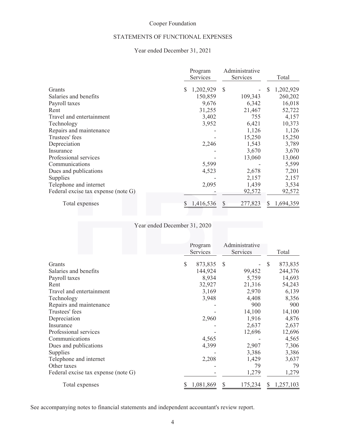#### STATEMENTS OF FUNCTIONAL EXPENSES

## Year ended December 31, 2021

|                                     | Program<br>Services | Administrative<br>Services | Total          |
|-------------------------------------|---------------------|----------------------------|----------------|
| Grants                              | 1,202,929<br>S      | <sup>\$</sup>              | 1,202,929<br>S |
| Salaries and benefits               | 150,859             | 109,343                    | 260,202        |
| Payroll taxes                       | 9,676               | 6,342                      | 16,018         |
| Rent                                | 31,255              | 21,467                     | 52,722         |
| Travel and entertainment            | 3,402               | 755                        | 4,157          |
| Technology                          | 3,952               | 6,421                      | 10,373         |
| Repairs and maintenance             |                     | 1,126                      | 1,126          |
| Trustees' fees                      |                     | 15,250                     | 15,250         |
| Depreciation                        | 2,246               | 1,543                      | 3,789          |
| Insurance                           |                     | 3,670                      | 3,670          |
| Professional services               |                     | 13,060                     | 13,060         |
| Communications                      | 5,599               |                            | 5,599          |
| Dues and publications               | 4,523               | 2,678                      | 7,201          |
| Supplies                            |                     | 2,157                      | 2,157          |
| Telephone and internet              | 2,095               | 1,439                      | 3,534          |
| Federal excise tax expense (note G) |                     | 92,572                     | 92,572         |
| Total expenses                      | 1,416,536           | 277,823                    | 1,694,359<br>S |

Year ended December 31, 2020

|                                     | Program<br>Services      | Administrative<br>Services | Total          |
|-------------------------------------|--------------------------|----------------------------|----------------|
| Grants                              | $\mathcal{S}$<br>873,835 | <sup>\$</sup>              | 873,835<br>S   |
| Salaries and benefits               | 144,924                  | 99,452                     | 244,376        |
| Payroll taxes                       | 8,934                    | 5,759                      | 14,693         |
| Rent                                | 32,927                   | 21,316                     | 54,243         |
| Travel and entertainment            | 3,169                    | 2,970                      | 6,139          |
| Technology                          | 3,948                    | 4,408                      | 8,356          |
| Repairs and maintenance             |                          | 900                        | 900            |
| Trustees' fees                      |                          | 14,100                     | 14,100         |
| Depreciation                        | 2,960                    | 1,916                      | 4,876          |
| Insurance                           |                          | 2,637                      | 2,637          |
| Professional services               |                          | 12,696                     | 12,696         |
| Communications                      | 4,565                    |                            | 4,565          |
| Dues and publications               | 4,399                    | 2,907                      | 7,306          |
| Supplies                            |                          | 3,386                      | 3,386          |
| Telephone and internet              | 2,208                    | 1,429                      | 3,637          |
| Other taxes                         |                          | 79                         | 79             |
| Federal excise tax expense (note G) |                          | 1,279                      | 1,279          |
| Total expenses                      | 1,081,869                | 175,234<br>S               | 1,257,103<br>S |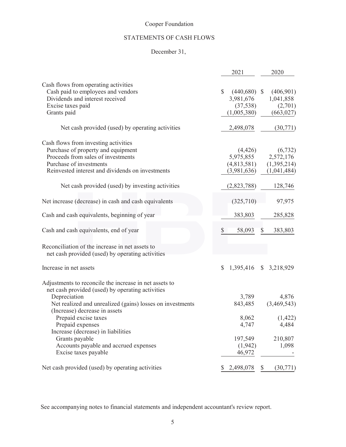# STATEMENTS OF CASH FLOWS

# December 31,

|                                                                                                                                                                                                                                                                                                                                                                                               | 2021                                                                   | 2020                                                           |
|-----------------------------------------------------------------------------------------------------------------------------------------------------------------------------------------------------------------------------------------------------------------------------------------------------------------------------------------------------------------------------------------------|------------------------------------------------------------------------|----------------------------------------------------------------|
| Cash flows from operating activities<br>Cash paid to employees and vendors<br>Dividends and interest received<br>Excise taxes paid<br>Grants paid                                                                                                                                                                                                                                             | $\mathbb{S}$<br>$(440,680)$ \$<br>3,981,676<br>(37,538)<br>(1,005,380) | (406,901)<br>1,041,858<br>(2,701)<br>(663, 027)                |
| Net cash provided (used) by operating activities                                                                                                                                                                                                                                                                                                                                              | 2,498,078                                                              | (30,771)                                                       |
| Cash flows from investing activities<br>Purchase of property and equipment<br>Proceeds from sales of investments<br>Purchase of investments<br>Reinvested interest and dividends on investments<br>Net cash provided (used) by investing activities                                                                                                                                           | (4,426)<br>5,975,855<br>(4,813,581)<br>(3,981,636)<br>(2,823,788)      | (6, 732)<br>2,572,176<br>(1,395,214)<br>(1,041,484)<br>128,746 |
| Net increase (decrease) in cash and cash equivalents                                                                                                                                                                                                                                                                                                                                          | (325,710)                                                              | 97,975                                                         |
| Cash and cash equivalents, beginning of year                                                                                                                                                                                                                                                                                                                                                  | 383,803                                                                | 285,828                                                        |
| Cash and cash equivalents, end of year<br>Reconciliation of the increase in net assets to                                                                                                                                                                                                                                                                                                     | \$<br>58,093                                                           | 383,803                                                        |
| net cash provided (used) by operating activities                                                                                                                                                                                                                                                                                                                                              |                                                                        |                                                                |
| Increase in net assets                                                                                                                                                                                                                                                                                                                                                                        | 1,395,416<br>$\mathbb{S}$                                              | \$3,218,929                                                    |
| Adjustments to reconcile the increase in net assets to<br>net cash provided (used) by operating activities<br>Depreciation<br>Net realized and unrealized (gains) losses on investments<br>(Increase) decrease in assets<br>Prepaid excise taxes<br>Prepaid expenses<br>Increase (decrease) in liabilities<br>Grants payable<br>Accounts payable and accrued expenses<br>Excise taxes payable | 3,789<br>843,485<br>8,062<br>4,747<br>197,549<br>(1,942)<br>46,972     | 4,876<br>(3,469,543)<br>(1, 422)<br>4,484<br>210,807<br>1,098  |
| Net cash provided (used) by operating activities                                                                                                                                                                                                                                                                                                                                              | 2,498,078<br>S.                                                        | (30,771)<br>\$                                                 |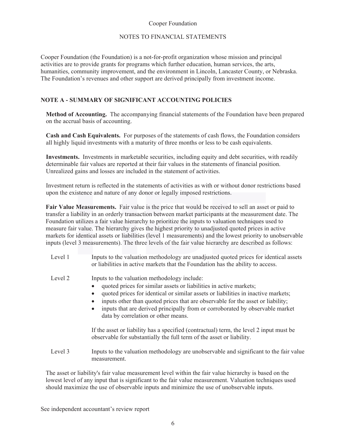#### NOTES TO FINANCIAL STATEMENTS

Cooper Foundation (the Foundation) is a not-for-profit organization whose mission and principal activities are to provide grants for programs which further education, human services, the arts, humanities, community improvement, and the environment in Lincoln, Lancaster County, or Nebraska. The Foundation's revenues and other support are derived principally from investment income.

### **NOTE A - SUMMARY OF SIGNIFICANT ACCOUNTING POLICIES**

**Method of Accounting.** The accompanying financial statements of the Foundation have been prepared on the accrual basis of accounting.

**Cash and Cash Equivalents.** For purposes of the statements of cash flows, the Foundation considers all highly liquid investments with a maturity of three months or less to be cash equivalents.

**Investments.** Investments in marketable securities, including equity and debt securities, with readily determinable fair values are reported at their fair values in the statements of financial position. Unrealized gains and losses are included in the statement of activities.

Investment return is reflected in the statements of activities as with or without donor restrictions based upon the existence and nature of any donor or legally imposed restrictions.

Fair Value Measurements. Fair value is the price that would be received to sell an asset or paid to transfer a liability in an orderly transaction between market participants at the measurement date. The Foundation utilizes a fair value hierarchy to prioritize the inputs to valuation techniques used to measure fair value. The hierarchy gives the highest priority to unadjusted quoted prices in active markets for identical assets or liabilities (level 1 measurements) and the lowest priority to unobservable inputs (level 3 measurements). The three levels of the fair value hierarchy are described as follows:

| Level 1 | Inputs to the valuation methodology are unadjusted quoted prices for identical assets<br>or liabilities in active markets that the Foundation has the ability to access.                                                                                                                                                                                                                                                                          |
|---------|---------------------------------------------------------------------------------------------------------------------------------------------------------------------------------------------------------------------------------------------------------------------------------------------------------------------------------------------------------------------------------------------------------------------------------------------------|
| Level 2 | Inputs to the valuation methodology include:<br>quoted prices for similar assets or liabilities in active markets;<br>quoted prices for identical or similar assets or liabilities in inactive markets;<br>$\bullet$<br>inputs other than quoted prices that are observable for the asset or liability;<br>٠<br>inputs that are derived principally from or corroborated by observable market<br>$\bullet$<br>data by correlation or other means. |
|         | If the asset or liability has a specified (contractual) term, the level 2 input must be<br>observable for substantially the full term of the asset or liability.                                                                                                                                                                                                                                                                                  |
| Level 3 | Inputs to the valuation methodology are unobservable and significant to the fair value<br>measurement.                                                                                                                                                                                                                                                                                                                                            |
|         |                                                                                                                                                                                                                                                                                                                                                                                                                                                   |

The asset or liability's fair value measurement level within the fair value hierarchy is based on the lowest level of any input that is significant to the fair value measurement. Valuation techniques used should maximize the use of observable inputs and minimize the use of unobservable inputs.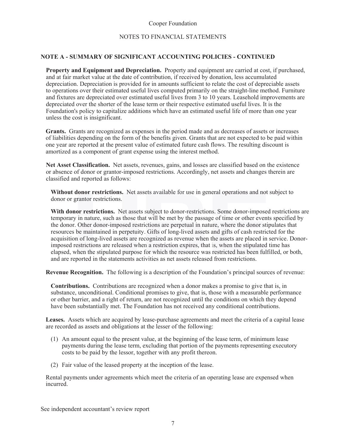#### NOTES TO FINANCIAL STATEMENTS

#### **NOTE A - SUMMARY OF SIGNIFICANT ACCOUNTING POLICIES - CONTINUED**

**Property and Equipment and Depreciation.** Property and equipment are carried at cost, if purchased, and at fair market value at the date of contribution, if received by donation, less accumulated depreciation. Depreciation is provided for in amounts sufficient to relate the cost of depreciable assets to operations over their estimated useful lives computed primarily on the straight-line method. Furniture and fixtures are depreciated over estimated useful lives from 3 to 10 years. Leasehold improvements are depreciated over the shorter of the lease term or their respective estimated useful lives. It is the Foundation's policy to capitalize additions which have an estimated useful life of more than one year unless the cost is insignificant.

**Grants.** Grants are recognized as expenses in the period made and as decreases of assets or increases of liabilities depending on the form of the benefits given. Grants that are not expected to be paid within one year are reported at the present value of estimated future cash flows. The resulting discount is amortized as a component of grant expense using the interest method.

**Net Asset Classification.** Net assets, revenues, gains, and losses are classified based on the existence or absence of donor or grantor-imposed restrictions. Accordingly, net assets and changes therein are classified and reported as follows:

Without donor restrictions. Net assets available for use in general operations and not subject to donor or grantor restrictions.

With donor restrictions. Net assets subject to donor-restrictions. Some donor-imposed restrictions are temporary in nature, such as those that will be met by the passage of time or other events specified by the donor. Other donor-imposed restrictions are perpetual in nature, where the donor stipulates that resources be maintained in perpetuity. Gifts of long-lived assets and gifts of cash restricted for the acquisition of long-lived assets are recognized as revenue when the assets are placed in service. Donorimposed restrictions are released when a restriction expires, that is, when the stipulated time has elapsed, when the stipulated purpose for which the resource was restricted has been fulfilled, or both, and are reported in the statements activities as net assets released from restrictions.

**Revenue Recognition.** The following is a description of the Foundation's principal sources of revenue:

**Contributions.** Contributions are recognized when a donor makes a promise to give that is, in substance, unconditional. Conditional promises to give, that is, those with a measurable performance or other barrier, and a right of return, are not recognized until the conditions on which they depend have been substantially met. The Foundation has not received any conditional contributions.

**Leases.** Assets which are acquired by lease-purchase agreements and meet the criteria of a capital lease are recorded as assets and obligations at the lesser of the following:

- (1) An amount equal to the present value, at the beginning of the lease term, of minimum lease payments during the lease term, excluding that portion of the payments representing executory costs to be paid by the lessor, together with any profit thereon.
- (2) Fair value of the leased property at the inception of the lease.

Rental payments under agreements which meet the criteria of an operating lease are expensed when incurred.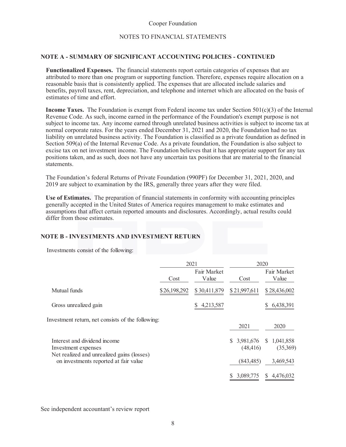#### NOTES TO FINANCIAL STATEMENTS

#### **NOTE A - SUMMARY OF SIGNIFICANT ACCOUNTING POLICIES - CONTINUED**

**Functionalized Expenses.** The financial statements report certain categories of expenses that are attributed to more than one program or supporting function. Therefore, expenses require allocation on a reasonable basis that is consistently applied. The expenses that are allocated include salaries and benefits, payroll taxes, rent, depreciation, and telephone and internet which are allocated on the basis of estimates of time and effort.

**Income Taxes.** The Foundation is exempt from Federal income tax under Section  $501(c)(3)$  of the Internal Revenue Code. As such, income earned in the performance of the Foundation's exempt purpose is not subject to income tax. Any income earned through unrelated business activities is subject to income tax at normal corporate rates. For the years ended December 31, 2021 and 2020, the Foundation had no tax liability on unrelated business activity. The Foundation is classified as a private foundation as defined in Section 509(a) of the Internal Revenue Code. As a private foundation, the Foundation is also subject to excise tax on net investment income. The Foundation believes that it has appropriate support for any tax positions taken, and as such, does not have any uncertain tax positions that are material to the financial statements.

The Foundation's federal Returns of Private Foundation (990PF) for December 31, 2021, 2020, and 2019 are subject to examination by the IRS, generally three years after they were filed.

Use of Estimates. The preparation of financial statements in conformity with accounting principles generally accepted in the United States of America requires management to make estimates and assumptions that affect certain reported amounts and disclosures. Accordingly, actual results could differ from those estimates.

#### **NOTE B - INVESTMENTS AND INVESTMENT RETURN**

Investments consist of the following:

|                                                                                                   |              | 2021                 | 2020                         |                                       |
|---------------------------------------------------------------------------------------------------|--------------|----------------------|------------------------------|---------------------------------------|
|                                                                                                   | Cost         | Fair Market<br>Value | Cost                         | Fair Market<br>Value                  |
| Mutual funds                                                                                      | \$26,198,292 | \$30,411,879         | \$21,997,611                 | \$28,436,002                          |
| Gross unrealized gain                                                                             |              | 4,213,587            |                              | 6,438,391                             |
| Investment return, net consists of the following:                                                 |              |                      | 2021                         | 2020                                  |
| Interest and dividend income<br>Investment expenses<br>Net realized and unrealized gains (losses) |              |                      | 3,981,676<br>S.<br>(48, 416) | 1,041,858<br><sup>S</sup><br>(35,369) |
| on investments reported at fair value                                                             |              |                      | (843, 485)                   | 3,469,543                             |
|                                                                                                   |              |                      | 3,089,775                    | 4,476,032<br>S.                       |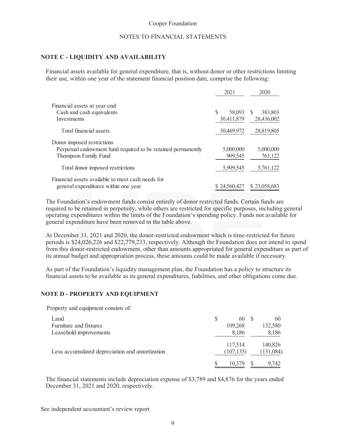#### NOTES TO FINANCIAL STATEMENTS

#### **NOTE C - LIQUIDITY AND AVAILABILITY**

Financial assets available for general expenditure, that is, without donor or other restrictions limiting their use, within one year of the statement financial position date, comprise the following:

|                                                              | 2021         | 2020          |
|--------------------------------------------------------------|--------------|---------------|
| Financial assets at year end:                                |              |               |
| Cash and cash equivalents                                    | S<br>58,093  | 383,803<br>S. |
| Investments                                                  | 30,411,879   | 28,436,002    |
| Total financial assets                                       | 30,469,972   | 28,819,805    |
| Donor imposed restrictions                                   |              |               |
| Perpetual endowment fund required to be retained permanently | 5,000,000    | 5,000,000     |
| Thompson Family Fund                                         | 909,545      | 761,122       |
| Total donor imposed restrictions                             | 5,909,545    | 5,761,122     |
| Financial assets available to meet cash needs for            |              |               |
| general expenditures within one year                         | \$24,560,427 | \$23,058,683  |

The Foundation's endowment funds consist entirely of donor restricted funds. Certain funds are required to be retained in perpetuity, while others are restricted for specific purposes, including general operating expenditures within the limits of the Foundation's spending policy. Funds not available for general expenditure have been removed in the table above.

At December 31, 2021 and 2020, the donor-restricted endowment which is time-restricted for future periods is \$24,026,226 and \$22,779,233, respectively. Although the Foundation does not intend to spend from this donor-restricted endowment, other than amounts appropriated for general expenditure as part of its annual budget and appropriation process, these amounts could be made available if necessary.

As part of the Foundation's liquidity management plan, the Foundation has a policy to structure its financial assets to be available as its general expenditures, liabilities, and other obligations come due.

#### **NOTE D - PROPERTY AND EQUIPMENT**

Property and equipment consists of:

| Land                                           | S | 60                    | 60                   |
|------------------------------------------------|---|-----------------------|----------------------|
| Furniture and fixtures                         |   | 109,268               | 132,580              |
| Leasehold improvements                         |   | 8,186                 | 8,186                |
| Less accumulated depreciation and amortization |   | 117,514<br>(107, 135) | 140,826<br>(131,084) |
|                                                |   |                       | 9.742                |

The financial statements include depreciation expense of \$3,789 and \$4,876 for the years ended December 31, 2021 and 2020, respectively.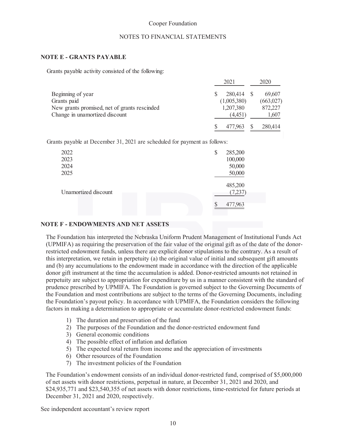#### NOTES TO FINANCIAL STATEMENTS

#### **NOTE E - GRANTS PAYABLE**

Grants payable activity consisted of the following:

|                                              | 2021        | 2020      |  |
|----------------------------------------------|-------------|-----------|--|
| Beginning of year                            | 280,414 \$  | 69,607    |  |
| Grants paid                                  | (1,005,380) | (663,027) |  |
| New grants promised, net of grants rescinded | 1,207,380   | 872,227   |  |
| Change in unamortized discount               | (4.451)     | 1,607     |  |
|                                              | 477.963     | 280,414   |  |

Grants payable at December 31, 2021 are scheduled for payment as follows:

| 2022<br>2023<br>2024<br>2025 | \$<br>285,200<br>100,000<br>50,000<br>50,000 |  |
|------------------------------|----------------------------------------------|--|
| Unamortized discount         | 485,200<br>(7,237)<br>477,963<br>S           |  |

#### **NOTE F - ENDOWMENTS AND NET ASSETS DOWMENTS NE ASSETS**

The Foundation has interpreted the Nebraska Uniform Prudent Management of Institutional Funds Act (UPMIFA) as requiring the preservation of the fair value of the original gift as of the date of the donorrestricted endowment funds, unless there are explicit donor stipulations to the contrary. As a result of this interpretation, we retain in perpetuity (a) the original value of initial and subsequent gift amounts and (b) any accumulations to the endowment made in accordance with the direction of the applicable donor gift instrument at the time the accumulation is added. Donor-restricted amounts not retained in perpetuity are subject to appropriation for expenditure by us in a manner consistent with the standard of prudence prescribed by UPMIFA. The Foundation is governed subject to the Governing Documents of the Foundation and most contributions are subject to the terms of the Governing Documents, including the Foundation's payout policy. In accordance with UPMIFA, the Foundation considers the following factors in making a determination to appropriate or accumulate donor-restricted endowment funds:

- 1) The duration and preservation of the fund
- 2) The purposes of the Foundation and the donor-restricted endowment fund
- 3) General economic conditions
- 4) The possible effect of inflation and deflation
- 5) The expected total return from income and the appreciation of investments
- 6) Other resources of the Foundation
- 7) The investment policies of the Foundation

The Foundation's endowment consists of an individual donor-restricted fund, comprised of \$5,000,000 of net assets with donor restrictions, perpetual in nature, at December 31, 2021 and 2020, and \$24,935,771 and \$23,540,355 of net assets with donor restrictions, time-restricted for future periods at December 31, 2021 and 2020, respectively.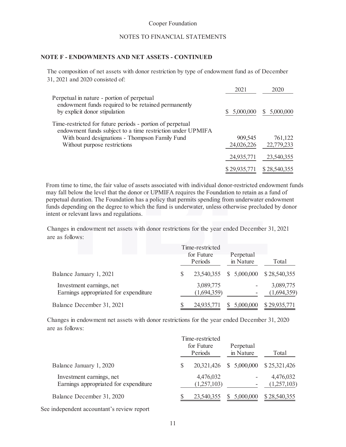#### NOTES TO FINANCIAL STATEMENTS

#### **NOTE F - ENDOWMENTS AND NET ASSETS - CONTINUED**

The composition of net assets with donor restriction by type of endowment fund as of December 31, 2021 and 2020 consisted of:

|                                                                                                                                                                                                           | 2021                  | 2020                  |
|-----------------------------------------------------------------------------------------------------------------------------------------------------------------------------------------------------------|-----------------------|-----------------------|
| Perpetual in nature - portion of perpetual<br>endowment funds required to be retained permanently<br>by explicit donor stipulation                                                                        | 5,000,000             | 5,000,000<br><b>S</b> |
| Time-restricted for future periods - portion of perpetual<br>endowment funds subject to a time restriction under UPMIFA<br>With board designations - Thompson Family Fund<br>Without purpose restrictions | 909,545<br>24,026,226 | 761,122<br>22,779,233 |
|                                                                                                                                                                                                           | 24,935,771            | 23,540,355            |
|                                                                                                                                                                                                           | \$29,935,771          | \$28,540,355          |

From time to time, the fair value of assets associated with individual donor-restricted endowment funds may fall below the level that the donor or UPMIFA requires the Foundation to retain as a fund of perpetual duration. The Foundation has a policy that permits spending from underwater endowment funds depending on the degree to which the fund is underwater, unless otherwise precluded by donor intent or relevant laws and regulations. low the level that the donor or UPMIFA requires<br>uration. The Foundation has a policy that permits<br>ding on the degree to which the fund is underwa<br>evant laws and regulations.<br>endowment net assets with donor restrictions for fund is underwater, unless ot

| Changes in endowment net assets with donor restrictions for the year ended December 31, 2021 |            |                 |             |              |  |
|----------------------------------------------------------------------------------------------|------------|-----------------|-------------|--------------|--|
| are as follows:                                                                              |            |                 |             |              |  |
|                                                                                              |            | Time-restricted |             |              |  |
|                                                                                              | for Future |                 | Perpetual   |              |  |
|                                                                                              |            | Periods         | in Nature   | Total        |  |
| Balance January 1, 2021                                                                      | \$         | 23,540,355      | \$5,000,000 | \$28,540,355 |  |
| Investment earnings, net                                                                     |            | 3,089,775       |             | 3,089,775    |  |
| Earnings appropriated for expenditure                                                        |            | (1,694,359)     |             | (1,694,359)  |  |
| Balance December 31, 2021                                                                    |            | 24,935,771      | 5,000,000   | \$29,935,771 |  |
|                                                                                              |            |                 |             |              |  |

Changes in endowment net assets with donor restrictions for the year ended December 31, 2020 are as follows:

|                                                                   | Time-restricted<br>for Future<br>Periods |                          |  | Perpetual<br>in Nature   | Total                    |  |
|-------------------------------------------------------------------|------------------------------------------|--------------------------|--|--------------------------|--------------------------|--|
| Balance January 1, 2020                                           |                                          | 20,321,426               |  | \$5,000,000              | \$25,321,426             |  |
| Investment earnings, net<br>Earnings appropriated for expenditure |                                          | 4,476,032<br>(1,257,103) |  | $\overline{\phantom{a}}$ | 4,476,032<br>(1,257,103) |  |
| Balance December 31, 2020                                         |                                          | 23,540,355               |  | 5,000,000                | \$28,540,355             |  |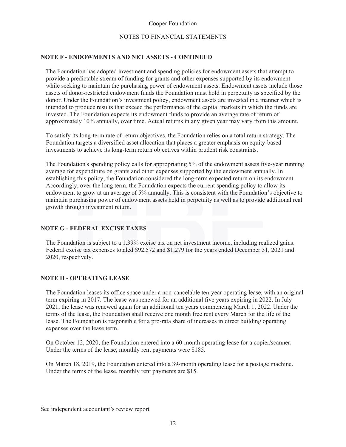#### NOTES TO FINANCIAL STATEMENTS

#### **NOTE F - ENDOWMENTS AND NET ASSETS - CONTINUED**

The Foundation has adopted investment and spending policies for endowment assets that attempt to provide a predictable stream of funding for grants and other expenses supported by its endowment while seeking to maintain the purchasing power of endowment assets. Endowment assets include those assets of donor-restricted endowment funds the Foundation must hold in perpetuity as specified by the donor. Under the Foundation's investment policy, endowment assets are invested in a manner which is intended to produce results that exceed the performance of the capital markets in which the funds are invested. The Foundation expects its endowment funds to provide an average rate of return of approximately 10% annually, over time. Actual returns in any given year may vary from this amount.

To satisfy its long-term rate of return objectives, the Foundation relies on a total return strategy. The Foundation targets a diversified asset allocation that places a greater emphasis on equity-based investments to achieve its long-term return objectives within prudent risk constraints.

The Foundation's spending policy calls for appropriating 5% of the endowment assets five-year running average for expenditure on grants and other expenses supported by the endowment annually. In establishing this policy, the Foundation considered the long-term expected return on its endowment. Accordingly, over the long term, the Foundation expects the current spending policy to allow its endowment to grow at an average of 5% annually. This is consistent with the Foundation's objective to maintain purchasing power of endowment assets held in perpetuity as well as to provide additional real growth through in maintain purchasing power of endowment assets held in perpetuity as well as to provide additional real growth through investment return.

#### **NOTE G - FEDERAL EXCISE TAXES DERAL TAX S**

The Foundation is subject to a 1.39% excise tax on net investment income, including realized gains. Federal excise tax expenses totaled \$92,572 and \$1,279 for the years ended December 31, 2021 and 2020, respectively.

#### **NOTE H - OPERATING LEASE**

The Foundation leases its office space under a non-cancelable ten-year operating lease, with an original term expiring in 2017. The lease was renewed for an additional five years expiring in 2022. In July 2021, the lease was renewed again for an additional ten years commencing March 1, 2022. Under the terms of the lease, the Foundation shall receive one month free rent every March for the life of the lease. The Foundation is responsible for a pro-rata share of increases in direct building operating expenses over the lease term.

On October 12, 2020, the Foundation entered into a 60-month operating lease for a copier/scanner. Under the terms of the lease, monthly rent payments were \$185.

On March 18, 2019, the Foundation entered into a 39-month operating lease for a postage machine. Under the terms of the lease, monthly rent payments are \$15.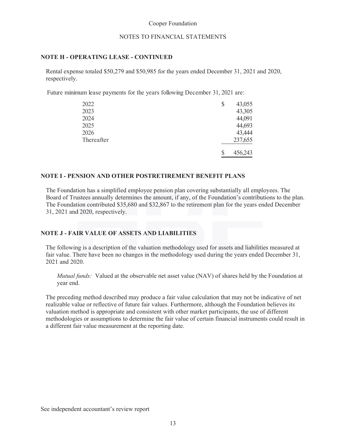#### NOTES TO FINANCIAL STATEMENTS

#### **NOTE H - OPERATING LEASE - CONTINUED**

Rental expense totaled \$50,279 and \$50,985 for the years ended December 31, 2021 and 2020, respectively.

Future minimum lease payments for the years following December 31, 2021 are:

| 2022       | \$<br>43,055  |
|------------|---------------|
| 2023       | 43,305        |
| 2024       | 44,091        |
| 2025       | 44,693        |
| 2026       | 43,444        |
| Thereafter | 237,655       |
|            | \$<br>456,243 |

#### **NOTE I - PENSION AND OTHER POSTRETIREMENT BENEFIT PLANS**

The Foundation has a simplified employee pension plan covering substantially all employees. The Board of Trustees annually determines the amount, if any, of the Foundation's contributions to the plan. The Foundation contributed \$35,680 and \$32,867 to the retirement plan for the years ended December 31, 2021 and 2020, respectively.

#### **NOTE J - FAIR VALUE OF ASSETS AND LIABILITIES IR ASSET LIABILITIES**

The following is a description of the valuation methodology used for assets and liabilities measured at fair value. There have been no changes in the methodology used during the years ended December 31, 2021 and 2020.

*Mutual funds:* Valued at the observable net asset value (NAV) of shares held by the Foundation at year end.

The preceding method described may produce a fair value calculation that may not be indicative of net realizable value or reflective of future fair values. Furthermore, although the Foundation believes its valuation method is appropriate and consistent with other market participants, the use of different methodologies or assumptions to determine the fair value of certain financial instruments could result in a different fair value measurement at the reporting date.